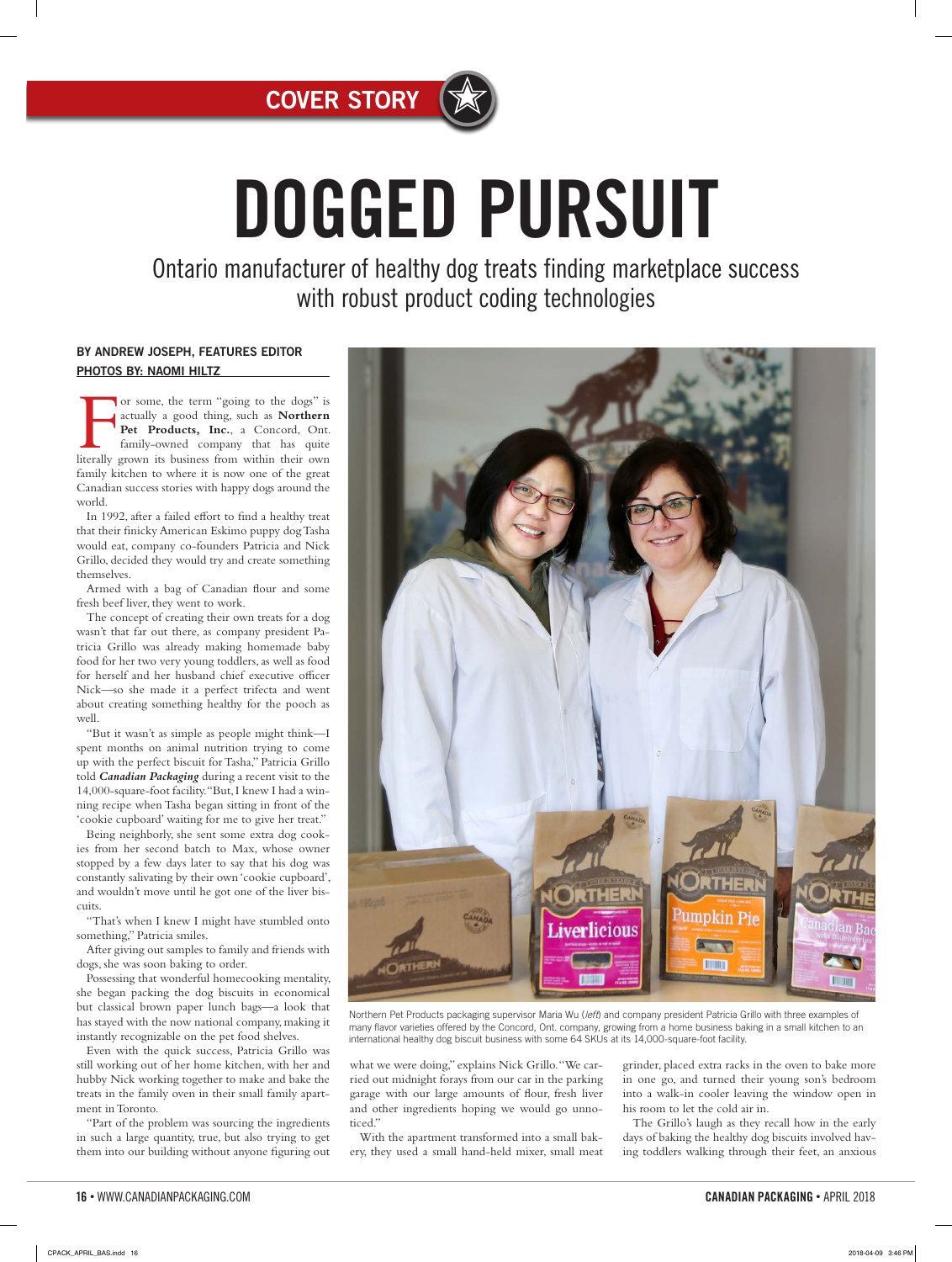

# DOGGED PURSUIT

Ontario manufacturer of healthy dog treats finding marketplace success with robust product coding technologies

#### BY ANDREW JOSEPH, FEATURES EDITOR PHOTOS BY: NAOMI HILTZ

or some, the term "going to the dogs" is actually a good thing, such as **Northern**<br>**Pet Products, Inc.**, a Concord, Ont.<br>family-owned company that has quite<br>literally grown its business from within their own actually a good thing, such as **Northern**  Pet Products, Inc., a Concord, Ont. family-owned company that has quite family kitchen to where it is now one of the great Canadian success stories with happy dogs around the world.

In 1992, after a failed effort to find a healthy treat that their finicky American Eskimo puppy dog Tasha would eat, company co-founders Patricia and Nick Grillo, decided they would try and create something themselves.

Armed with a bag of Canadian flour and some fresh beef liver, they went to work.

The concept of creating their own treats for a dog wasn't that far out there, as company president Patricia Grillo was already making homemade baby food for her two very young toddlers, as well as food for herself and her husband chief executive officer Nick—so she made it a perfect trifecta and went about creating something healthy for the pooch as well.

"But it wasn't as simple as people might think—I spent months on animal nutrition trying to come up with the perfect biscuit for Tasha," Patricia Grillo told *Canadian Packaging* during a recent visit to the 14,000-square-foot facility. "But, I knew I had a winning recipe when Tasha began sitting in front of the 'cookie cupboard' waiting for me to give her treat."

Being neighborly, she sent some extra dog cookies from her second batch to Max, whose owner stopped by a few days later to say that his dog was constantly salivating by their own 'cookie cupboard', and wouldn't move until he got one of the liver biscuits.

"That's when I knew I might have stumbled onto something," Patricia smiles.

After giving out samples to family and friends with dogs, she was soon baking to order.

Possessing that wonderful homecooking mentality, she began packing the dog biscuits in economical but classical brown paper lunch bags—a look that has stayed with the now national company, making it instantly recognizable on the pet food shelves.

Even with the quick success, Patricia Grillo was still working out of her home kitchen, with her and hubby Nick working together to make and bake the treats in the family oven in their small family apartment in Toronto.

"Part of the problem was sourcing the ingredients in such a large quantity, true, but also trying to get them into our building without anyone figuring out



Northern Pet Products packaging supervisor Maria Wu (left) and company president Patricia Grillo with three examples of many flavor varieties offered by the Concord, Ont. company, growing from a home business baking in a small kitchen to an international healthy dog biscuit business with some 64 SKUs at its 14,000-square-foot facility

what we were doing," explains Nick Grillo. "We carried out midnight forays from our car in the parking garage with our large amounts of flour, fresh liver and other ingredients hoping we would go unnoticed."

With the apartment transformed into a small bakery, they used a small hand-held mixer, small meat

grinder, placed extra racks in the oven to bake more in one go, and turned their young son's bedroom into a walk-in cooler leaving the window open in his room to let the cold air in.

The Grillo's laugh as they recall how in the early days of baking the healthy dog biscuits involved having toddlers walking through their feet, an anxious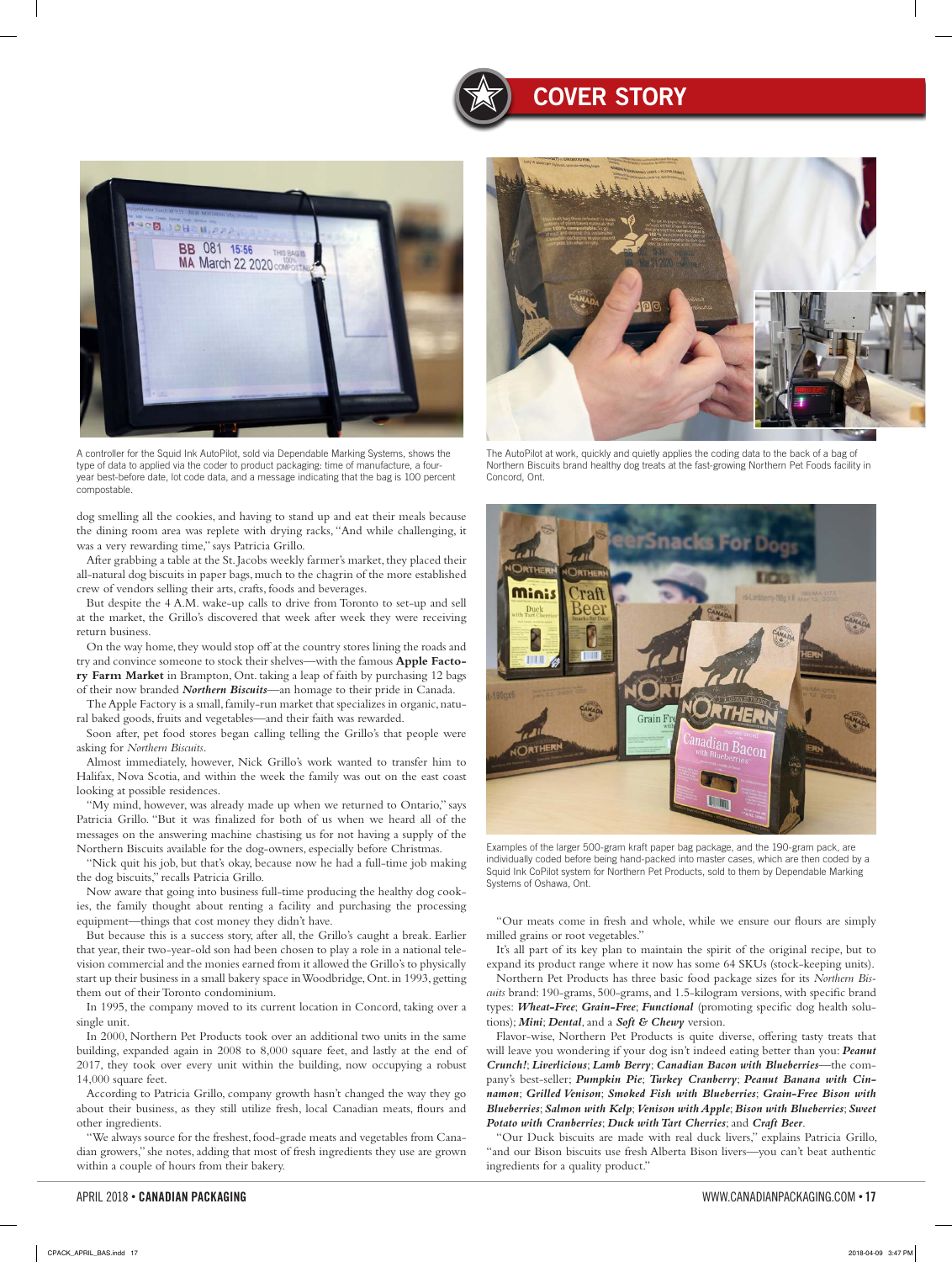

A controller for the Squid Ink AutoPilot, sold via Dependable Marking Systems, shows the type of data to applied via the coder to product packaging: time of manufacture, a fouryear best-before date, lot code data, and a message indicating that the bag is 100 percent compostable.

dog smelling all the cookies, and having to stand up and eat their meals because the dining room area was replete with drying racks, "And while challenging, it was a very rewarding time," says Patricia Grillo.

After grabbing a table at the St. Jacobs weekly farmer's market, they placed their all-natural dog biscuits in paper bags, much to the chagrin of the more established crew of vendors selling their arts, crafts, foods and beverages.

But despite the 4 A.M. wake-up calls to drive from Toronto to set-up and sell at the market, the Grillo's discovered that week after week they were receiving return business.

On the way home, they would stop off at the country stores lining the roads and try and convince someone to stock their shelves—with the famous **Apple Factory Farm Market** in Brampton, Ont. taking a leap of faith by purchasing 12 bags of their now branded *Northern Biscuits*—an homage to their pride in Canada.

The Apple Factory is a small, family-run market that specializes in organic, natural baked goods, fruits and vegetables—and their faith was rewarded.

Soon after, pet food stores began calling telling the Grillo's that people were asking for *Northern Biscuits*.

Almost immediately, however, Nick Grillo's work wanted to transfer him to Halifax, Nova Scotia, and within the week the family was out on the east coast looking at possible residences.

"My mind, however, was already made up when we returned to Ontario," says Patricia Grillo. "But it was finalized for both of us when we heard all of the messages on the answering machine chastising us for not having a supply of the Northern Biscuits available for the dog-owners, especially before Christmas.

"Nick quit his job, but that's okay, because now he had a full-time job making the dog biscuits," recalls Patricia Grillo.

Now aware that going into business full-time producing the healthy dog cookies, the family thought about renting a facility and purchasing the processing equipment—things that cost money they didn't have.

But because this is a success story, after all, the Grillo's caught a break. Earlier that year, their two-year-old son had been chosen to play a role in a national television commercial and the monies earned from it allowed the Grillo's to physically start up their business in a small bakery space in Woodbridge, Ont. in 1993, getting them out of their Toronto condominium.

In 1995, the company moved to its current location in Concord, taking over a single unit.

In 2000, Northern Pet Products took over an additional two units in the same building, expanded again in 2008 to 8,000 square feet, and lastly at the end of 2017, they took over every unit within the building, now occupying a robust 14,000 square feet.

According to Patricia Grillo, company growth hasn't changed the way they go about their business, as they still utilize fresh, local Canadian meats, flours and other ingredients.

"We always source for the freshest, food-grade meats and vegetables from Canadian growers," she notes, adding that most of fresh ingredients they use are grown within a couple of hours from their bakery.



The AutoPilot at work, quickly and quietly applies the coding data to the back of a bag of Northern Biscuits brand healthy dog treats at the fast-growing Northern Pet Foods facility in Concord, Ont.



Examples of the larger 500-gram kraft paper bag package, and the 190-gram pack, are individually coded before being hand-packed into master cases, which are then coded by a Squid Ink CoPilot system for Northern Pet Products, sold to them by Dependable Marking Systems of Oshawa, Ont.

"Our meats come in fresh and whole, while we ensure our flours are simply milled grains or root vegetables."

It's all part of its key plan to maintain the spirit of the original recipe, but to expand its product range where it now has some 64 SKUs (stock-keeping units).

Northern Pet Products has three basic food package sizes for its *Northern Biscuits* brand: 190-grams, 500-grams, and 1.5-kilogram versions, with specific brand types: *Wheat-Free*; *Grain-Free*; *Functional* (promoting specific dog health solutions); *Mini*; *Dental*, and a *Soft & Chewy* version.

Flavor-wise, Northern Pet Products is quite diverse, offering tasty treats that will leave you wondering if your dog isn't indeed eating better than you: *Peanut Crunch!*; *Liverlicious*; *Lamb Berry*; *Canadian Bacon with Blueberries*—the company's best-seller; *Pumpkin Pie*; *Turkey Cranberry*; *Peanut Banana with Cinnamon*; *Grilled Venison*; *Smoked Fish with Blueberries*; *Grain-Free Bison with Blueberries*; *Salmon with Kelp*; *Venison with Apple*; *Bison with Blueberries*; *Sweet Potato with Cranberries*; *Duck with Tart Cherries*; and *Craft Beer*.

"Our Duck biscuits are made with real duck livers," explains Patricia Grillo, "and our Bison biscuits use fresh Alberta Bison livers—you can't beat authentic ingredients for a quality product."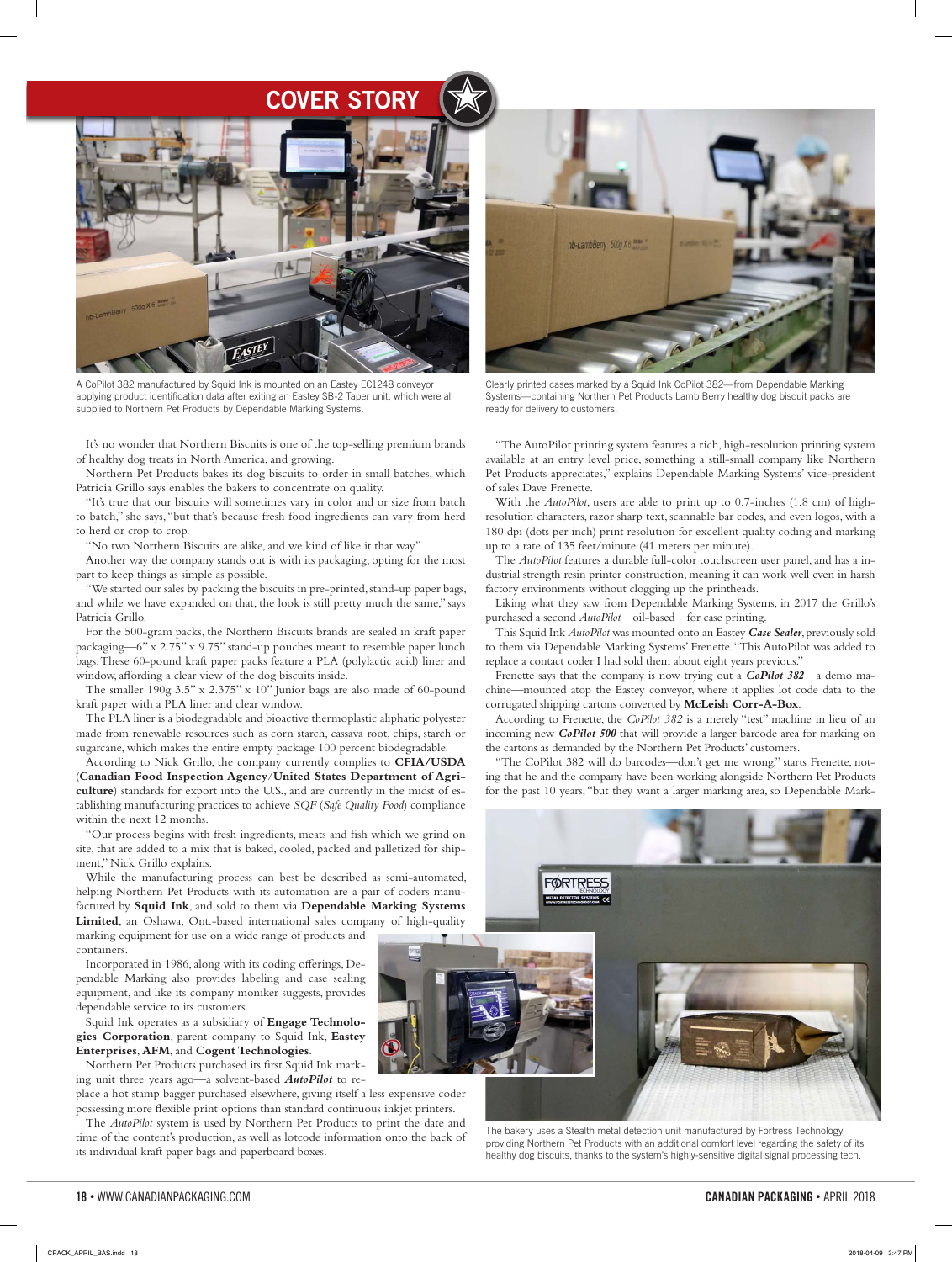

A CoPilot 382 manufactured by Squid Ink is mounted on an Eastey EC1248 conveyor applying product identification data after exiting an Eastey SB-2 Taper unit, which were all supplied to Northern Pet Products by Dependable Marking Systems.

It's no wonder that Northern Biscuits is one of the top-selling premium brands of healthy dog treats in North America, and growing.

Northern Pet Products bakes its dog biscuits to order in small batches, which Patricia Grillo says enables the bakers to concentrate on quality.

"It's true that our biscuits will sometimes vary in color and or size from batch to batch," she says, "but that's because fresh food ingredients can vary from herd to herd or crop to crop.

"No two Northern Biscuits are alike, and we kind of like it that way."

Another way the company stands out is with its packaging, opting for the most part to keep things as simple as possible.

"We started our sales by packing the biscuits in pre-printed, stand-up paper bags, and while we have expanded on that, the look is still pretty much the same," says Patricia Grillo.

For the 500-gram packs, the Northern Biscuits brands are sealed in kraft paper packaging—6" x 2.75" x 9.75" stand-up pouches meant to resemble paper lunch bags. These 60-pound kraft paper packs feature a PLA (polylactic acid) liner and window, affording a clear view of the dog biscuits inside.

The smaller 190g 3.5" x 2.375" x 10" Junior bags are also made of 60-pound kraft paper with a PLA liner and clear window.

The PLA liner is a biodegradable and bioactive thermoplastic aliphatic polyester made from renewable resources such as corn starch, cassava root, chips, starch or sugarcane, which makes the entire empty package 100 percent biodegradable.

According to Nick Grillo, the company currently complies to **CFIA/USDA** (**Canadian Food Inspection Agency**/**United States Department of Agriculture**) standards for export into the U.S., and are currently in the midst of establishing manufacturing practices to achieve *SQF* (*Safe Quality Food*) compliance within the next 12 months.

"Our process begins with fresh ingredients, meats and fish which we grind on site, that are added to a mix that is baked, cooled, packed and palletized for shipment," Nick Grillo explains.

While the manufacturing process can best be described as semi-automated, helping Northern Pet Products with its automation are a pair of coders manufactured by **Squid Ink**, and sold to them via **Dependable Marking Systems Limited**, an Oshawa, Ont.-based international sales company of high-quality marking equipment for use on a wide range of products and

containers. Incorporated in 1986, along with its coding offerings, De-

pendable Marking also provides labeling and case sealing equipment, and like its company moniker suggests, provides dependable service to its customers.

Squid Ink operates as a subsidiary of **Engage Technologies Corporation**, parent company to Squid Ink, **Eastey Enterprises**, **AFM**, and **Cogent Technologies**.

Northern Pet Products purchased its first Squid Ink marking unit three years ago—a solvent-based *AutoPilot* to re-

place a hot stamp bagger purchased elsewhere, giving itself a less expensive coder possessing more flexible print options than standard continuous inkjet printers.

The *AutoPilot* system is used by Northern Pet Products to print the date and time of the content's production, as well as lotcode information onto the back of its individual kraft paper bags and paperboard boxes.



Clearly printed cases marked by a Squid Ink CoPilot 382—from Dependable Marking Systems—containing Northern Pet Products Lamb Berry healthy dog biscuit packs are ready for delivery to customers.

"The AutoPilot printing system features a rich, high-resolution printing system available at an entry level price, something a still-small company like Northern Pet Products appreciates," explains Dependable Marking Systems' vice-president of sales Dave Frenette.

With the *AutoPilot*, users are able to print up to 0.7-inches (1.8 cm) of highresolution characters, razor sharp text, scannable bar codes, and even logos, with a 180 dpi (dots per inch) print resolution for excellent quality coding and marking up to a rate of 135 feet/minute (41 meters per minute).

The *AutoPilot* features a durable full-color touchscreen user panel, and has a industrial strength resin printer construction, meaning it can work well even in harsh factory environments without clogging up the printheads.

Liking what they saw from Dependable Marking Systems, in 2017 the Grillo's purchased a second *AutoPilot*—oil-based—for case printing.

This Squid Ink *AutoPilot* was mounted onto an Eastey *Case Sealer*, previously sold to them via Dependable Marking Systems' Frenette. "This AutoPilot was added to replace a contact coder I had sold them about eight years previous."

Frenette says that the company is now trying out a *CoPilot 382*—a demo machine—mounted atop the Eastey conveyor, where it applies lot code data to the corrugated shipping cartons converted by **McLeish Corr-A-Box**.

According to Frenette, the *CoPilot 382* is a merely "test" machine in lieu of an incoming new *CoPilot 500* that will provide a larger barcode area for marking on the cartons as demanded by the Northern Pet Products' customers.

"The CoPilot 382 will do barcodes—don't get me wrong," starts Frenette, noting that he and the company have been working alongside Northern Pet Products for the past 10 years, "but they want a larger marking area, so Dependable Mark-



The bakery uses a Stealth metal detection unit manufactured by Fortress Technology, providing Northern Pet Products with an additional comfort level regarding the safety of its healthy dog biscuits, thanks to the system's highly-sensitive digital signal processing tech.